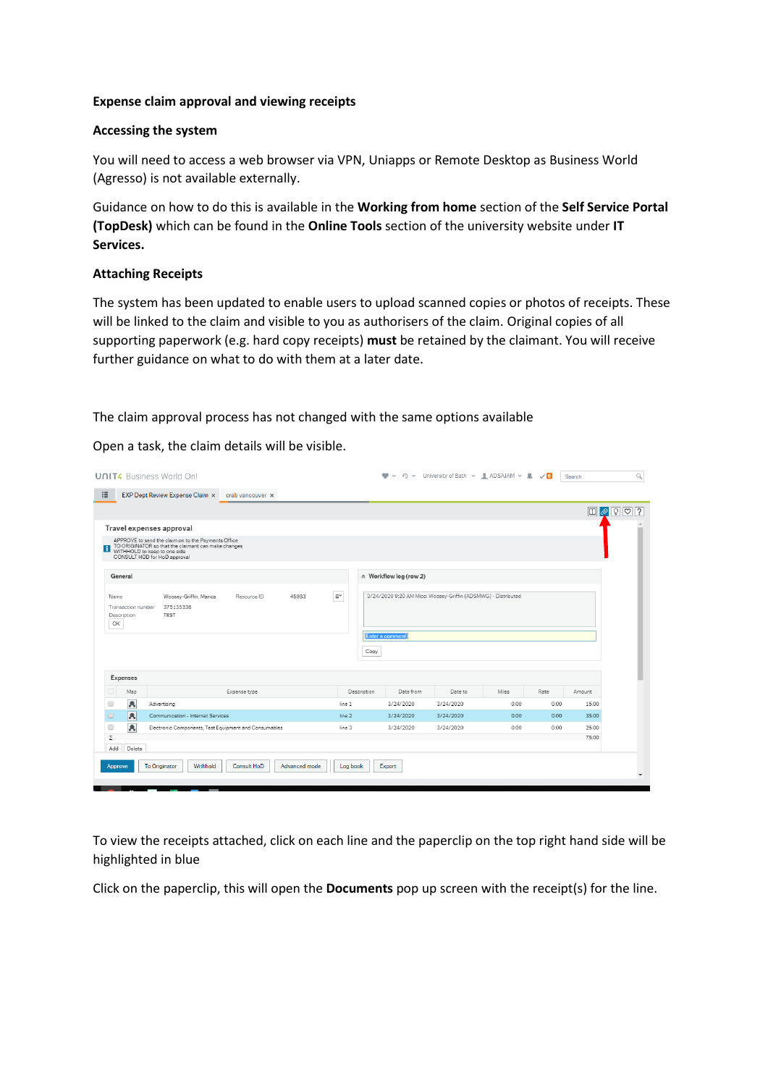## **Expense claim approval and viewing receipts**

## **Accessing the system**

You will need to access a web browser via VPN, Uniapps or Remote Desktop as Business World (Agresso) is not available externally.

Guidance on how to do this is available in the **Working from home** section of the **Self Service Portal (TopDesk)** which can be found in the **Online Tools** section of the university website under **IT Services.**

## **Attaching Receipts**

The system has been updated to enable users to upload scanned copies or photos of receipts. These will be linked to the claim and visible to you as authorisers of the claim. Original copies of all supporting paperwork (e.g. hard copy receipts) **must** be retained by the claimant. You will receive further guidance on what to do with them at a later date.

The claim approval process has not changed with the same options available

Open a task, the claim details will be visible.

| EXP Dept Review Expense Claim x<br>crab vancouver x<br>Travel expenses approval<br>APPROVE to send the claim on to the Payments Office<br>TO ORIGINATOR so that the claimant can make changes<br>WITHHOLD to keep to one side<br>CONSULT HOD for HoD approval<br>☆ Workflow log (row 2)<br>General<br>$\equiv^\thicksim$<br>3/24/2020 9:20 AM Micci Woosey-Griffin (ADSMWG) - Distributed<br>Woosey-Griffin, Marica<br>45983<br>Resource ID<br>Name<br>375135336<br>Transaction number<br><b>TEST</b><br>Description<br>OK<br>(Enter a comment)<br>Copy<br>Expenses<br>Date from<br>Miles<br>Rate<br>Map<br>Description<br>Date to<br>Expense type<br>Amount<br>A<br>$\Box$<br>3/24/2020<br>3/24/2020<br>0.00<br>0.00<br>15.00<br>Advertising<br>line 1<br>$\overline{\mathbf{A}}$<br>$\Box$<br>Communication - Internet Services<br>0.00<br>line 2<br>3/24/2020<br>3/24/2020<br>0.00<br>35.00<br>凤<br>□<br>Electronic Components, Test Equipment and Consumables<br>3/24/2020<br>0.00<br>line 3<br>3/24/2020<br>0.00<br>25.00<br>Σ<br>75.00<br>Delete<br>Add<br>To Originator<br>Withhold<br>Consult HoD<br>Advanced mode<br>Log book<br>Export<br>Approve | <b>UNIT4</b> Business World On! |  | $\bullet$ | ↓ 49 → University of Bath → <u>●</u> ADSAJAM → ● √6 |  | Search |
|-------------------------------------------------------------------------------------------------------------------------------------------------------------------------------------------------------------------------------------------------------------------------------------------------------------------------------------------------------------------------------------------------------------------------------------------------------------------------------------------------------------------------------------------------------------------------------------------------------------------------------------------------------------------------------------------------------------------------------------------------------------------------------------------------------------------------------------------------------------------------------------------------------------------------------------------------------------------------------------------------------------------------------------------------------------------------------------------------------------------------------------------------------------|---------------------------------|--|-----------|-----------------------------------------------------|--|--------|
|                                                                                                                                                                                                                                                                                                                                                                                                                                                                                                                                                                                                                                                                                                                                                                                                                                                                                                                                                                                                                                                                                                                                                             | 這                               |  |           |                                                     |  |        |
|                                                                                                                                                                                                                                                                                                                                                                                                                                                                                                                                                                                                                                                                                                                                                                                                                                                                                                                                                                                                                                                                                                                                                             |                                 |  |           |                                                     |  |        |
|                                                                                                                                                                                                                                                                                                                                                                                                                                                                                                                                                                                                                                                                                                                                                                                                                                                                                                                                                                                                                                                                                                                                                             |                                 |  |           |                                                     |  |        |
|                                                                                                                                                                                                                                                                                                                                                                                                                                                                                                                                                                                                                                                                                                                                                                                                                                                                                                                                                                                                                                                                                                                                                             |                                 |  |           |                                                     |  |        |
|                                                                                                                                                                                                                                                                                                                                                                                                                                                                                                                                                                                                                                                                                                                                                                                                                                                                                                                                                                                                                                                                                                                                                             |                                 |  |           |                                                     |  |        |
|                                                                                                                                                                                                                                                                                                                                                                                                                                                                                                                                                                                                                                                                                                                                                                                                                                                                                                                                                                                                                                                                                                                                                             |                                 |  |           |                                                     |  |        |
|                                                                                                                                                                                                                                                                                                                                                                                                                                                                                                                                                                                                                                                                                                                                                                                                                                                                                                                                                                                                                                                                                                                                                             |                                 |  |           |                                                     |  |        |
|                                                                                                                                                                                                                                                                                                                                                                                                                                                                                                                                                                                                                                                                                                                                                                                                                                                                                                                                                                                                                                                                                                                                                             |                                 |  |           |                                                     |  |        |
|                                                                                                                                                                                                                                                                                                                                                                                                                                                                                                                                                                                                                                                                                                                                                                                                                                                                                                                                                                                                                                                                                                                                                             |                                 |  |           |                                                     |  |        |
|                                                                                                                                                                                                                                                                                                                                                                                                                                                                                                                                                                                                                                                                                                                                                                                                                                                                                                                                                                                                                                                                                                                                                             |                                 |  |           |                                                     |  |        |
|                                                                                                                                                                                                                                                                                                                                                                                                                                                                                                                                                                                                                                                                                                                                                                                                                                                                                                                                                                                                                                                                                                                                                             |                                 |  |           |                                                     |  |        |
|                                                                                                                                                                                                                                                                                                                                                                                                                                                                                                                                                                                                                                                                                                                                                                                                                                                                                                                                                                                                                                                                                                                                                             |                                 |  |           |                                                     |  |        |
|                                                                                                                                                                                                                                                                                                                                                                                                                                                                                                                                                                                                                                                                                                                                                                                                                                                                                                                                                                                                                                                                                                                                                             |                                 |  |           |                                                     |  |        |
|                                                                                                                                                                                                                                                                                                                                                                                                                                                                                                                                                                                                                                                                                                                                                                                                                                                                                                                                                                                                                                                                                                                                                             |                                 |  |           |                                                     |  |        |

To view the receipts attached, click on each line and the paperclip on the top right hand side will be highlighted in blue

Click on the paperclip, this will open the **Documents** pop up screen with the receipt(s) for the line.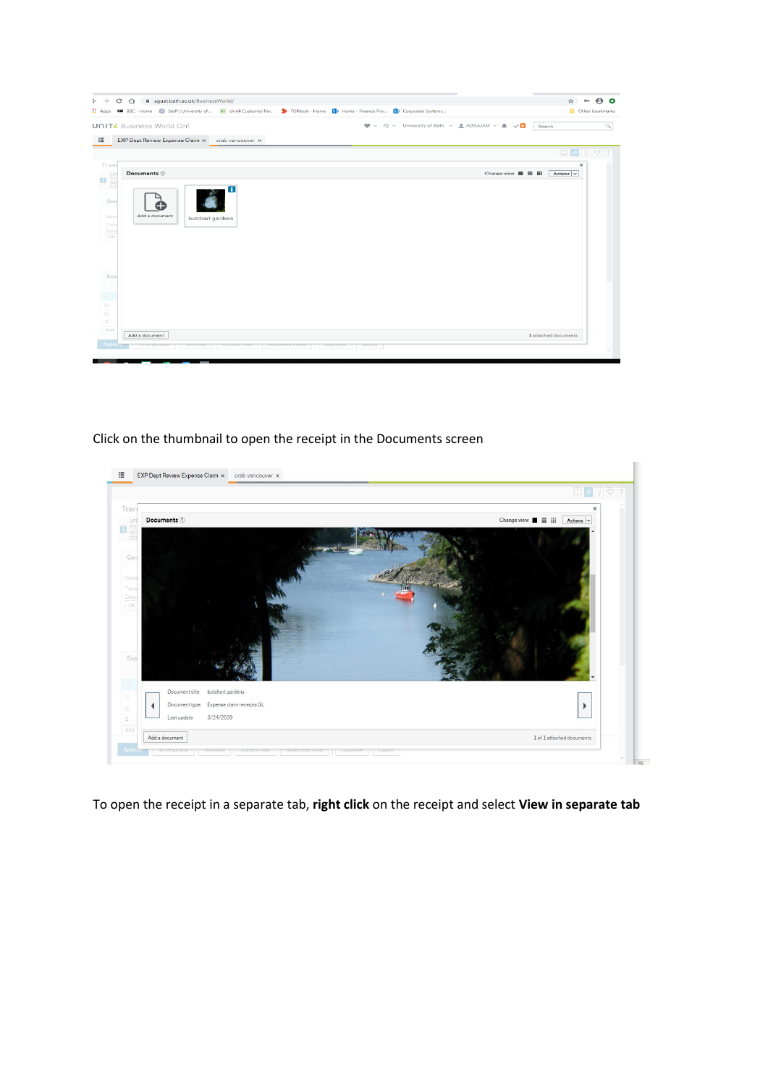| aguat.bath.ac.uk/BusinessWorld/<br>C<br>$\rightarrow$<br>⇧<br><b>000</b> BBC - Home Staff   University of UK Unit4 Customer Par > TOPdesk - Home Sp Home - Finance Pro Sp Corporate Systems<br><b>H</b> Apps | $\mathbf e$ o<br>$\pi$<br>$O_{\mathbf{T}}$<br>Other bookmarks                                                         |
|--------------------------------------------------------------------------------------------------------------------------------------------------------------------------------------------------------------|-----------------------------------------------------------------------------------------------------------------------|
|                                                                                                                                                                                                              |                                                                                                                       |
| <b>UNIT4</b> Business World On!                                                                                                                                                                              | 49 v University of Bath v <u>· ●</u> ADSAJAM v · ● √ O<br>$\mathbf{w}$ .<br>$\hfill\ensuremath{\mathsf{Q}}$<br>Search |
| EXP Dept Review Expense Claim x<br>crab vancouver x                                                                                                                                                          |                                                                                                                       |
|                                                                                                                                                                                                              |                                                                                                                       |
| Trav                                                                                                                                                                                                         | $\times$                                                                                                              |
| Documents 2<br>AP<br>TO<br>WI<br>$\mathbf{H}$                                                                                                                                                                | Change view $\equiv$ $\equiv$ $\equiv$<br>Actions $\vert \mathbf{=}% \rangle$                                         |
| CC<br>п<br>Ger<br>Add a document<br>Nam<br>butchart gardens<br>Trans<br>Desc<br>OK                                                                                                                           |                                                                                                                       |
| Exp                                                                                                                                                                                                          |                                                                                                                       |
|                                                                                                                                                                                                              |                                                                                                                       |
|                                                                                                                                                                                                              |                                                                                                                       |
|                                                                                                                                                                                                              |                                                                                                                       |
| $\Sigma$                                                                                                                                                                                                     |                                                                                                                       |
| Add<br>Add a document                                                                                                                                                                                        | 1 attached documents                                                                                                  |
| Approv                                                                                                                                                                                                       |                                                                                                                       |

## Click on the thumbnail to open the receipt in the Documents screen



To open the receipt in a separate tab, **right click** on the receipt and select **View in separate tab**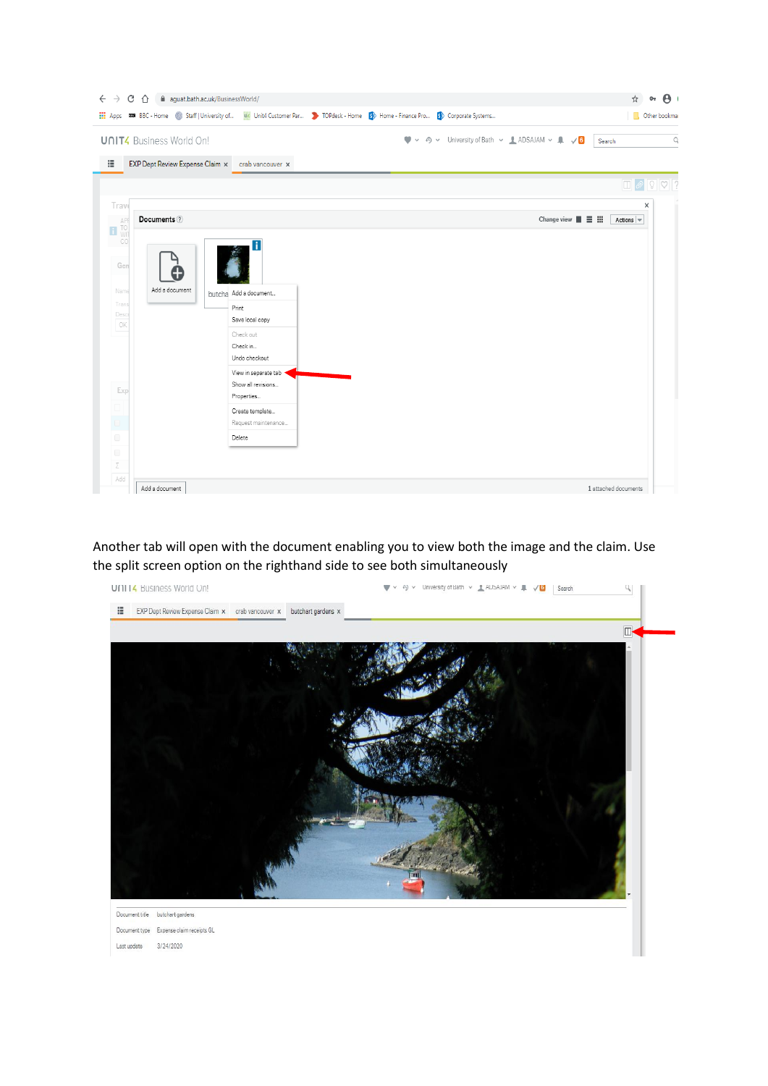| <b>UNIT4</b> Business World On!                                                                       |                                                  | 49 v University of Bath v & ADSAJAM v & v 6<br>$\bullet$<br>$\checkmark$ | Search                                                                        |
|-------------------------------------------------------------------------------------------------------|--------------------------------------------------|--------------------------------------------------------------------------|-------------------------------------------------------------------------------|
|                                                                                                       |                                                  |                                                                          |                                                                               |
|                                                                                                       | EXP Dept Review Expense Claim x crab vancouver x |                                                                          |                                                                               |
|                                                                                                       |                                                  |                                                                          | $\boxed{\blacksquare}\ \mathscr{D}\ \boxed{?}\ \boxed{\heartsuit}\ \boxed{?}$ |
| Trav<br>Documents 2                                                                                   |                                                  | Change view $\blacksquare \equiv \blacksquare$                           | ×                                                                             |
| $\begin{array}{c}\n\begin{array}{c}\n\text{APF} \\ \text{TO} \\ \text{WIT}\n\end{array}\n\end{array}$ |                                                  |                                                                          | Actions $\vert \mathbf{v} \vert$                                              |
| CO                                                                                                    |                                                  |                                                                          |                                                                               |
|                                                                                                       |                                                  |                                                                          |                                                                               |
| Ger                                                                                                   |                                                  |                                                                          |                                                                               |
| Add a document<br>Nam                                                                                 |                                                  |                                                                          |                                                                               |
| Trans                                                                                                 | butcha Add a document                            |                                                                          |                                                                               |
| Desc                                                                                                  | Print<br>Save local copy                         |                                                                          |                                                                               |
| OK                                                                                                    | Check out                                        |                                                                          |                                                                               |
|                                                                                                       | Check in                                         |                                                                          |                                                                               |
|                                                                                                       | Undo checkout                                    |                                                                          |                                                                               |
|                                                                                                       | View in separate tab                             |                                                                          |                                                                               |
| Exp                                                                                                   | Show all revisions                               |                                                                          |                                                                               |
|                                                                                                       | Properties                                       |                                                                          |                                                                               |
|                                                                                                       | Create template                                  |                                                                          |                                                                               |
|                                                                                                       | Request maintenance                              |                                                                          |                                                                               |
|                                                                                                       | Delete                                           |                                                                          |                                                                               |
|                                                                                                       |                                                  |                                                                          |                                                                               |

Another tab will open with the document enabling you to view both the image and the claim. Use the split screen option on the righthand side to see both simultaneously